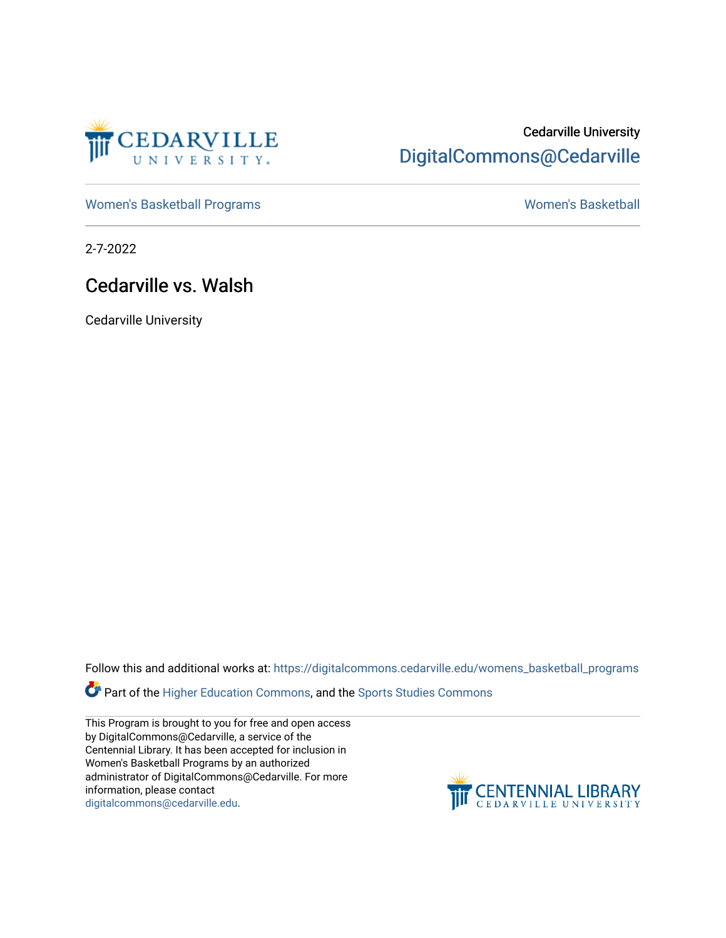

## Cedarville University [DigitalCommons@Cedarville](https://digitalcommons.cedarville.edu/)

[Women's Basketball Programs](https://digitalcommons.cedarville.edu/womens_basketball_programs) North Controller and Momen's Basketball

2-7-2022

### Cedarville vs. Walsh

Cedarville University

Follow this and additional works at: [https://digitalcommons.cedarville.edu/womens\\_basketball\\_programs](https://digitalcommons.cedarville.edu/womens_basketball_programs?utm_source=digitalcommons.cedarville.edu%2Fwomens_basketball_programs%2F524&utm_medium=PDF&utm_campaign=PDFCoverPages)

Part of the [Higher Education Commons,](http://network.bepress.com/hgg/discipline/1245?utm_source=digitalcommons.cedarville.edu%2Fwomens_basketball_programs%2F524&utm_medium=PDF&utm_campaign=PDFCoverPages) and the Sports Studies Commons

This Program is brought to you for free and open access by DigitalCommons@Cedarville, a service of the Centennial Library. It has been accepted for inclusion in Women's Basketball Programs by an authorized administrator of DigitalCommons@Cedarville. For more information, please contact [digitalcommons@cedarville.edu](mailto:digitalcommons@cedarville.edu).

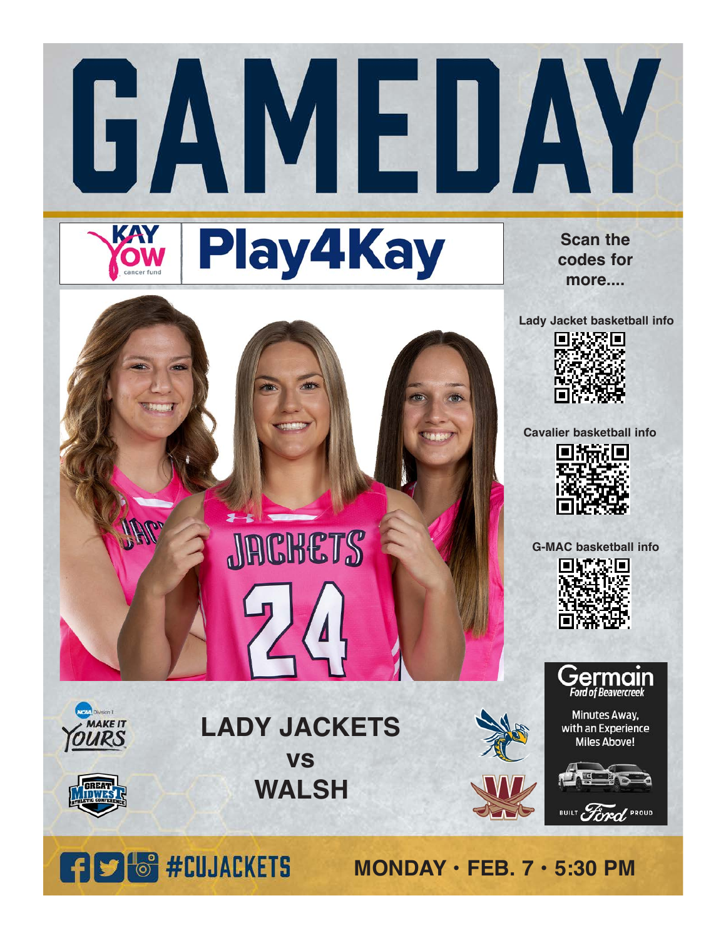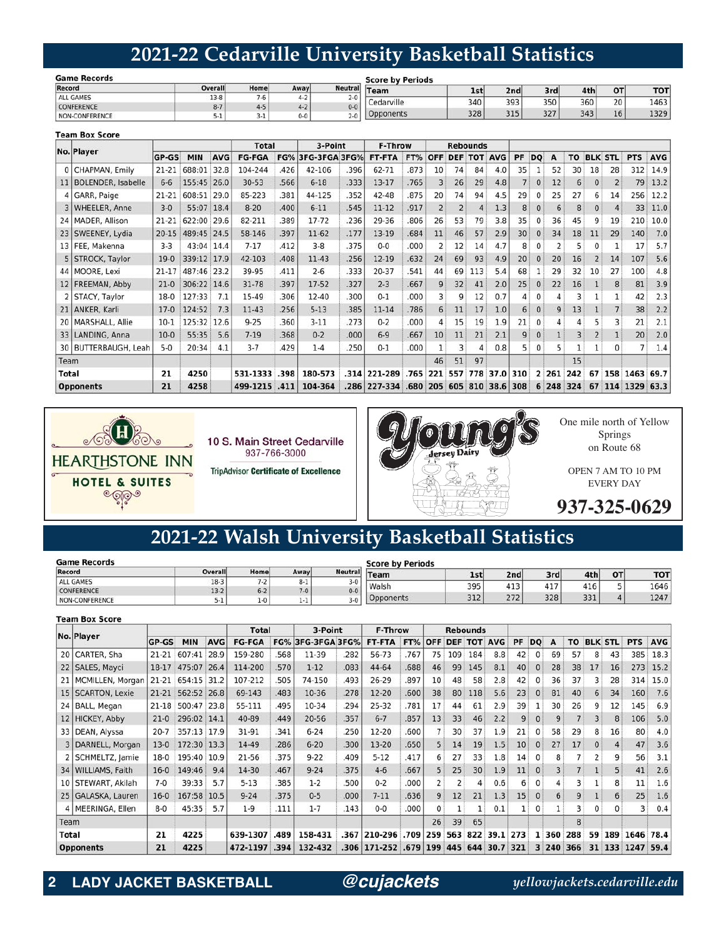## **2021-22 Cedarville University Basketball Statistics**

| <b>Game Records</b> |         |      |         | <b>Score by Periods</b> |            |                 |      |     |     |    |            |  |  |  |
|---------------------|---------|------|---------|-------------------------|------------|-----------------|------|-----|-----|----|------------|--|--|--|
| Record              | Overall | Home | Awayl   | <b>Neutral</b>          | Team       | 1 <sub>st</sub> | 2ndl | 3rd | 4th | OT | <b>TOT</b> |  |  |  |
| <b>ALL GAMES</b>    | $13-8$  |      |         | $2 - 0$                 |            |                 |      |     |     |    |            |  |  |  |
| <b>CONFERENCE</b>   | $8 - 7$ |      |         | $0 - 0$                 | cedarville | 340             | 393  | 350 | 360 | 20 | 1463       |  |  |  |
| NON-CONFERENCE      | コール     |      | $0 - 0$ | $2 - 0$                 | Opponents  | 328             | 315  | 327 | 343 | 16 | 1329       |  |  |  |

|                 | <b>Team Box Score</b>     |           |             |            |               |      |                   |      |              |            |            |            |                 |                |     |              |       |           |                |                |               |            |
|-----------------|---------------------------|-----------|-------------|------------|---------------|------|-------------------|------|--------------|------------|------------|------------|-----------------|----------------|-----|--------------|-------|-----------|----------------|----------------|---------------|------------|
|                 | No. Player                |           |             |            | <b>Total</b>  |      | 3-Point           |      | F-Throw      |            |            |            | <b>Rebounds</b> |                |     |              |       |           |                |                |               |            |
|                 |                           | GP-GS     | <b>MIN</b>  | <b>AVG</b> | <b>FG-FGA</b> |      | FG% 3FG-3FGA 3FG% |      | FT-FTA       | FT%        | OFF        | <b>DEF</b> |                 | <b>TOT AVG</b> | PF  | <b>DO</b>    | A     | <b>TO</b> |                | <b>BLK STL</b> | <b>PTS</b>    | <b>AVG</b> |
| $\mathbf{0}$    | CHAPMAN, Emily            | $21 - 21$ | 688:01      | 32.8       | 104-244       | 426  | 42-106            | .396 | 62-71        | .873       | 10         | 74         | 84              | 4.0            | 35  |              | 52    | 30        | 18             | 28             | 312           | 14.9       |
| 11              | <b>BOLENDER, Isabelle</b> | $6-6$     | 155:45      | 26.0       | $30 - 53$     | .566 | $6 - 18$          | .333 | 13-17        | .765       |            | 26         | 29              | 4.8            |     | $\mathbf{0}$ | 12    | 6         | $\mathbf{0}$   | 2              | 79            | 13.2       |
| 4               | GARR, Paige               | 21-21     | 608:51      | 29.0       | 85-223        | .381 | 44-125            | .352 | 42-48        | .875       | 20         | 74         | 94              | 4.5            | 29  | $\Omega$     | 25    | 27        | 6              | 14             | 256           | 12.2       |
|                 | 3   WHEELER, Anne         | $3 - 0$   | 55:07 18.4  |            | $8 - 20$      | 400  | $6 - 11$          | .545 | $11 - 12$    | .917       |            |            | $\overline{4}$  | 1.3            | 8   | $\mathbf{0}$ | 6     | 8         | $\mathbf{0}$   | 4              | 33            | 11.0       |
|                 | 24   MADER, Allison       | $21 - 21$ | 622:00      | 29.6       | 82-211        | .389 | $17 - 72$         | .236 | 29-36        | .806       | 26         | 53         | 79              | 3.8            | 35  | $\Omega$     | 36    | 45        | 9              | 19             | 210           | 10.0       |
|                 | 23   SWEENEY, Lydia       | $20 - 15$ | 489:45 24.5 |            | 58-146        | .397 | $11 - 62$         | .177 | 13-19        | .684       | 11         | 46         | 57              | 2.9            | 30  | $\mathbf{0}$ | 34    | 18        | 11             | 29             | 140           | 7.0        |
| 13              | FEE, Makenna              | $3-3$     | 43:04 14.4  |            | $7-17$        | .412 | $3 - 8$           | .375 | $0 - 0$      | .000       |            | 12         | 14              | 4.7            |     | $\Omega$     |       | 5         | 0              |                | 17            | 5.7        |
|                 | STROCK, Taylor            | $19-0$    | 339:12 17.9 |            | 42-103        | .408 | $11-43$           | .256 | 12-19        | .632       | 24         | 69         | 93              | 4.9            | 20  | $\mathbf{0}$ | 20    | 16        | $\overline{2}$ | 14             | 107           | 5.6        |
|                 | 44   MOORE, Lexi          | $21 - 17$ | 487:46 23.2 |            | 39-95         | .411 | $2 - 6$           | .333 | $20 - 37$    | .541       | 44         | 69         | 113             | 5.4            | 68  |              | 29    | 32        | 10             | 27             | 100           | 4.8        |
|                 | 12 FREEMAN, Abby          | $21-0$    | 306:22 14.6 |            | $31 - 78$     | .397 | $17-52$           | .327 | $2 - 3$      | .667       | 9          | 32         | 41              | 2.0            | 25  | $\Omega$     | 22    | 16        |                | 8              | 81            | 3.9        |
|                 | STACY, Taylor             | $18-0$    | 127:33      | 7.1        | 15-49         | .306 | $12 - 40$         | .300 | $0 - 1$      | .000       |            | q          | 12              | 0.7            |     | $\Omega$     |       | 3         |                |                | 42            | 2.3        |
| 21              | ANKER, Karli              | $17-0$    | 124:52      | 7.3        | $11-43$       | .256 | $5 - 13$          | .385 | 11-14        | .786       | 6          | 11         | 17              | 1.0            | 6   | $\mathbf{0}$ | 9     | 13        |                |                | 38            | 2.2        |
| 20 <sub>1</sub> | MARSHALL, Allie           | $10-1$    | 125:32      | 12.6       | $9 - 25$      | .360 | $3-11$            | .273 | $0 - 2$      | .000       |            | 15         | 19              | 1.9            | 21  | $\Omega$     | 4     | 4         |                | 3              | 21            | 2.1        |
|                 | 33   LANDING, Anna        | $10-0$    | 55:35       | 5.6        | $7-19$        | .368 | $0 - 2$           | .000 | $6 - 9$      | .667       | 10         | 11         | 21              | 2.1            | 9   |              |       | 3         |                |                | 20            | 2.0        |
|                 | 30   BUTTERBAUGH, Leah    | $5-0$     | 20:34       | 4.1        | $3 - 7$       | 429  | $1 - 4$           | .250 | $0 - 1$      | .000       |            | 3          | 4               | 0.8            |     | $\Omega$     | 5     |           |                | 0              |               | 1.4        |
| Team            |                           |           |             |            |               |      |                   |      |              |            | 46         | 51         | 97              |                |     |              |       | 15        |                |                |               |            |
| <b>Total</b>    |                           | 21        | 4250        |            | 531-1333      | .398 | 180-573           | .314 | 221-289      |            | $.765$ 221 | 557        | 778             | 37.0           | 310 |              | 2 261 | 242       | 67             |                | 158 1463 69.7 |            |
|                 | <b>Opponents</b>          | 21        | 4258        |            | 499-1215      | .411 | 104-364           |      | .286 227-334 | $.680$ 205 |            |            | 605 810         | 38.6           | 308 | 6            |       | 248 324   | 67             |                | 114 1329 63.3 |            |



10 S. Main Street Cedarville 937-766-3000 **TripAdvisor Certificate of Excellence** 



**2021-22 Walsh University Basketball Statistics**

| <b>Game Records</b> |                |         |         | <b>Score by Periods</b> |           |            |     |     |     |              |            |  |  |  |
|---------------------|----------------|---------|---------|-------------------------|-----------|------------|-----|-----|-----|--------------|------------|--|--|--|
| Record              | <b>Overall</b> | Home    | Away    | <b>Neutral</b>          | Team      | <b>1st</b> | 2nd | 3rd | 4th | OT           | <b>TOT</b> |  |  |  |
| <b>ALL GAMES</b>    | $18-3$         | $7 - 2$ | $8 - 1$ | $3-0$                   | Walsh     | 395        | 413 | 417 | 416 |              | 1646       |  |  |  |
| <b>CONFERENCE</b>   | $13-2$         | $6 - 2$ | $7 - 0$ | $0 - 0$                 |           |            |     |     |     |              |            |  |  |  |
| NON-CONFERENCE      |                | $1 - 0$ | $1-1$   | $3-0$                   | Opponents | 312        | 272 | 328 | 331 | $\mathbf{a}$ | 1247       |  |  |  |

#### **Team Box Score**

|       | No. Player            |           |             |      | <b>Total</b>  |      | 3-Point                  |       | <b>F-Throw</b>        |      |              |     | <b>Rebounds</b> |                        |           |              |     |              |          |                |                  |            |
|-------|-----------------------|-----------|-------------|------|---------------|------|--------------------------|-------|-----------------------|------|--------------|-----|-----------------|------------------------|-----------|--------------|-----|--------------|----------|----------------|------------------|------------|
|       |                       | GP-GS     | <b>MIN</b>  | AVG  | <b>FG-FGA</b> |      | <b>FG% 3FG-3FGA 3FG%</b> |       | FT-FTA                | FT%  |              |     |                 | <b>OFF DEF TOT AVG</b> | <b>PF</b> | <b>DO</b>    | A   | TO           |          | <b>BLK STL</b> | <b>PTS</b>       | <b>AVG</b> |
|       | 20 CARTER, Sha        | $21-21$   | 607:41      | 28.9 | 159-280       | .568 | 11-39                    | .282  | $56 - 73$             | 767  | 75           | 109 | 184             | 8.8                    | 42        | $^{\circ}$   | 69  | 57           | 8        | 43             | 385              | 18.3       |
| 22    | SALES, Mayci          | 18-17     | 475:07      | 26.4 | 114-200       | .570 | $1 - 12$                 | .083  | 44-64                 | .688 | 46           | 99  | 145             | 8.1                    | 40        | $\mathbf{0}$ | 28  | 38           | 17       | 16             | 273              | 15.2       |
|       | 21   MCMILLEN, Morgan | 21-21     | 654:15 31.2 |      | 107-212       | .505 | 74-150                   | .493  | $26 - 29$             | .897 | 10           | 48  | 58              | 2.8                    | 42        |              | 36  | 37           | 3        | 28             | 314              | 15.0       |
|       | 15   SCARTON, Lexie   | $21-21$   | 562:52 26.8 |      | 69-143        | .483 | $10-36$                  | .278  | $12 - 20$             | .600 | 38           | 80  | 118             | 5.6                    | 23        | $\mathbf{0}$ | 81  | 40           | 6        | 34             | 160              | 7.6        |
|       | 24 BALL, Megan        | $21 - 18$ | 500:47 23.8 |      | 55-111        | .495 | 10-34                    | .294  | $25 - 32$             | .781 | 17           | 44  | 61              | 2.9                    | 39        |              | 30  | 26           | 9        | 12             | 145              | 6.9        |
|       | 12 HICKEY, Abby       | $21-0$    | 296:02 14.1 |      | 40-89         | .449 | $20 - 56$                | .357  | $6 - 7$               | .857 | 13           | 33  | 46              | 2.2                    | 9         | $\mathbf{0}$ | 9   |              | 3        | 8              | 106              | 5.0        |
|       | 33 DEAN, Alyssa       | $20 - 7$  | 357:13 17.9 |      | 31-91         | .341 | $6 - 24$                 | .250  | $12 - 20$             | .600 |              | 30  | 37              | 1.9                    | 21        |              | 58  | 29           | 8        | 16             | 80               | 4.0        |
|       | 3   DARNELL, Morgan   | $13-0$    | 172:30 13.3 |      | 14-49         | .286 | $6 - 20$                 | .300  | $13 - 20$             | .650 | 5            | 14  | 19              | 1.5                    | 10        |              | 27  | 17           | $\Omega$ | 4              | 47               | 3.6        |
|       | 2   SCHMELTZ, Jamie   | $18-0$    | 195:40 10.9 |      | $21 - 56$     | .375 | $9 - 22$                 | .409  | $5 - 12$              | .417 | 6            | 27  | 33              | 1.8                    | 14        |              |     |              |          | 9              | 56               | 3.1        |
|       | 34   WILLIAMS, Faith  | $16-0$    | 149:46      | 9.4  | 14-30         | .467 | $9 - 24$                 | .375  | $4 - 6$               | .667 |              | 25  | 30              | 1.9                    | 11        |              |     |              |          | 5              | 41               | 2.6        |
|       | 10 STEWART, Akilah    | $7-0$     | 39:33       | 5.7  | $5 - 13$      | .385 | $1-2$                    | .500  | $0 - 2$               | .000 |              |     |                 | 0.6                    | 6         |              |     |              |          | 8              | 11               | 1.6        |
|       | 25 GALASKA, Lauren    | $16-0$    | 167:58      | 10.5 | $9 - 24$      | .375 | $0 - 5$                  | .000. | $7 - 11$              | .636 | 9            | 12  | 21              | 1.3                    | 15        | $\mathbf{0}$ | 6   | 9            |          | 6              | 25               | 1.6        |
|       | 4   MEERINGA, Ellen   | $8 - 0$   | 45:35       | 5.7  | $1-9$         | .111 | $1-7$                    | .143  | $0-0$                 | .000 | $\mathbf{0}$ |     |                 | 0.1                    |           | 0            |     | 3            | 0        |                | 3                | 0.4        |
|       | Team                  |           |             |      |               |      |                          |       |                       |      | 26           | 39  | 65              |                        |           |              |     | $\mathbf{8}$ |          |                |                  |            |
| Total |                       | 21        | 4225        |      | 639-1307      | .489 | 158-431                  | .367  | 210-296               | .709 | 259          | 563 | 822             | 39.1                   | 273       | 1            | 360 | 288          | 59       | 189            | 1646             | 78.4       |
|       | <b>Opponents</b>      | 21        | 4225        |      | 472-1197      | .394 | 132-432                  |       | .306 171-252 .679 199 |      |              |     |                 | 445 644 30.7 321       |           |              |     | 3 240 366    |          |                | 31 133 1247 59.4 |            |

**2 LADY JACKET BASKETBALL** *@cujackets yellowjackets.cedarville.edu*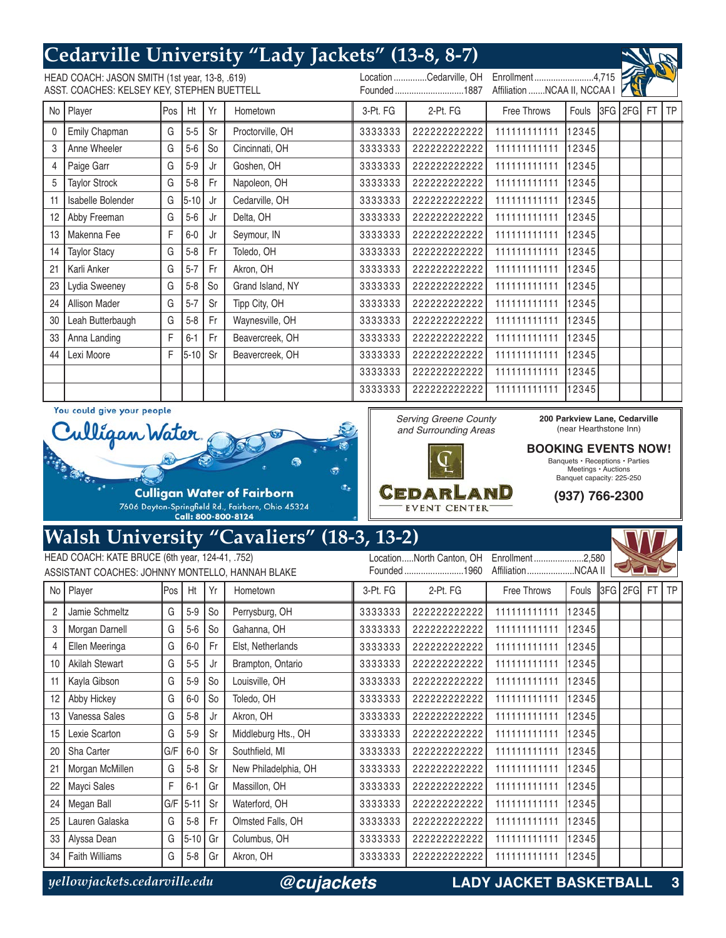# **Cedarville University "Lady Jackets" (13-8, 8-7)**

HEAD COACH: JASON SMITH (1st year, 13-8, .619) ASST. COACHES: KELSEY KEY, STEPHEN BUETTELL Location ..............Cedarville, OH Founded .............................1887 Enrollment .........................4,715 Affiliation .......NCAA II, NCCAA I 0 Emily Chapman G 5-5 Sr Proctorville, OH 3 Anne Wheeler G 5-6 So Cincinnati, OH 4 Paige Garr G G 15-9 Jr Goshen, OH 5 Taylor Strock G 5-8 Fr Napoleon, OH 11 | Isabelle Bolender | G | 5-10 | Jr | Cedarville, OH 12 Abby Freeman G | 5-6 | Jr | Delta, OH 13 Makenna Fee F 6-0 Jr Seymour, IN 14 Taylor Stacy G | 5-8 | Fr | Toledo, OH 21 | Karli Anker G | 5-7 | Fr | Akron, OH 23 Lydia Sweeney G 5-8 So Grand Island, NY 24 | Allison Mader | G | 5-7 | Sr | Tipp City, OH 30 Leah Butterbaugh G 5-8 Fr Waynesville, OH 33 Anna Landing F 6-1 Fr Beavercreek, OH 44 Lexi Moore **F** 5-10 Sr Beavercreek, OH No Player Pos Ht Yr Hometown 3-Pt. FG 2-Pt. FG Free Throws Fouls 3FG 2FG FT TP 3333333 222222222222 111111111111 12345 3333333 222222222222 111111111111 12345 3333333 222222222222 111111111111 12345 3333333 222222222222 111111111111 12345 3333333 222222222222 111111111111 12345 3333333 222222222222 111111111111 12345 3333333 222222222222 111111111111 12345 3333333 222222222222 111111111111 12345 3333333 222222222222 111111111111 12345 3333333 222222222222 111111111111 12345 3333333 222222222222 111111111111 12345 3333333 222222222222 111111111111 12345 3333333 222222222222 111111111111 12345 3333333 222222222222 111111111111 12345 3333333 222222222222 111111111111 12345 3333333 222222222222 111111111111 12345

> Serving Greene County and Surrounding Areas

CEDARLAND

**EVENT CENTER** 

You could give your people



## **Walsh University "Cavaliers" (18-3, 13-2)**

|                | HEAD COACH: KATE BRUCE (6th year, 124-41, .752)  |      |          |                |                      |          | LocationNorth Canton, OH | Enrollment2,580    |               |  |           |      |
|----------------|--------------------------------------------------|------|----------|----------------|----------------------|----------|--------------------------|--------------------|---------------|--|-----------|------|
|                | ASSISTANT COACHES: JOHNNY MONTELLO, HANNAH BLAKE |      |          |                |                      |          | Founded1960              | AffiliationNCAA II |               |  |           |      |
| No I           | Player                                           | lPos | Ht       | Yr             | Hometown             | 3-Pt. FG | 2-Pt. FG                 | Free Throws        | Fouls 3FG 2FG |  | <b>FT</b> | I TP |
| $\overline{c}$ | Jamie Schmeltz                                   | G    | $5-9$    | S <sub>o</sub> | Perrysburg, OH       | 3333333  | 22222222222              | 11111111111        | 123451        |  |           |      |
| 3              | Morgan Darnell                                   | G    | $5-6$    | S <sub>o</sub> | Gahanna, OH          | 3333333  | 22222222222              | 11111111111        | 12345         |  |           |      |
| 4              | Ellen Meeringa                                   | G    | $6-0$    | Fr             | Elst, Netherlands    | 3333333  | 22222222222              | 111111111111       | 12345         |  |           |      |
| 10             | Akilah Stewart                                   | G    | $5-5$    | Jr             | Brampton, Ontario    | 3333333  | 22222222222              | 11111111111        | 12345         |  |           |      |
| 11             | Kayla Gibson                                     | G    | $5-9$    | S <sub>o</sub> | Louisville, OH       | 3333333  | 22222222222              | 111111111111       | 12345         |  |           |      |
| 12             | Abby Hickey                                      | G    | $6-0$    | S <sub>o</sub> | Toledo, OH           | 3333333  | 22222222222              | 111111111111       | 12345         |  |           |      |
| 13             | Vanessa Sales                                    | G    | $5 - 8$  | Jr             | Akron, OH            | 3333333  | 22222222222              | 111111111111       | 12345         |  |           |      |
| 15             | Lexie Scarton                                    | G    | $5 - 9$  | Sr             | Middleburg Hts., OH  | 3333333  | 22222222222              | 11111111111        | 12345         |  |           |      |
| 20             | Sha Carter                                       | G/F  | $6-0$    | Sr             | Southfield, MI       | 3333333  | 22222222222              | 11111111111        | 12345         |  |           |      |
| 21             | Morgan McMillen                                  | G    | $5 - 8$  | Sr             | New Philadelphia, OH | 3333333  | 22222222222              | 11111111111        | 123451        |  |           |      |
| 22             | Mayci Sales                                      | F    | $6 - 1$  | Gr             | Massillon, OH        | 3333333  | 22222222222              | 111111111111       | 12345         |  |           |      |
| 24             | Megan Ball                                       | G/F  | $5 - 11$ | Sr             | Waterford, OH        | 3333333  | 22222222222              | 111111111111       | 12345         |  |           |      |
| 25             | Lauren Galaska                                   | G    | $5 - 8$  | Fr.            | Olmsted Falls, OH    | 3333333  | 22222222222              | 11111111111        | 12345         |  |           |      |
| 33             | Alyssa Dean                                      | G    | $5 - 10$ | Gr             | Columbus, OH         | 3333333  | 22222222222              | 11111111111        | 123451        |  |           |      |
| 34             | <b>Faith Williams</b>                            | G    | $5-8$    | Gr             | Akron, OH            | 3333333  | 22222222222              | 11111111111        | 12345         |  |           |      |

*@cujackets*

*yellowjackets.cedarville.edu* **LADY JACKET BASKETBALL 3**

**200 Parkview Lane, Cedarville** (near Hearthstone Inn) **BOOKING EVENTS NOW!** Banquets • Receptions • Parties Meetings • Auctions Banquet capacity: 225-250 **(937) 766-2300**